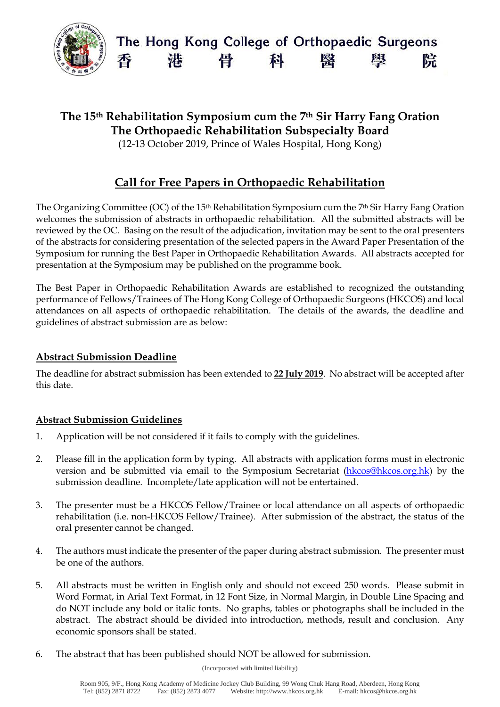

# **The 15th Rehabilitation Symposium cum the 7th Sir Harry Fang Oration The Orthopaedic Rehabilitation Subspecialty Board**

(12-13 October 2019, Prince of Wales Hospital, Hong Kong)

# **Call for Free Papers in Orthopaedic Rehabilitation**

The Organizing Committee (OC) of the 15<sup>th</sup> Rehabilitation Symposium cum the 7<sup>th</sup> Sir Harry Fang Oration welcomes the submission of abstracts in orthopaedic rehabilitation. All the submitted abstracts will be reviewed by the OC. Basing on the result of the adjudication, invitation may be sent to the oral presenters of the abstracts for considering presentation of the selected papers in the Award Paper Presentation of the Symposium for running the Best Paper in Orthopaedic Rehabilitation Awards. All abstracts accepted for presentation at the Symposium may be published on the programme book.

The Best Paper in Orthopaedic Rehabilitation Awards are established to recognized the outstanding performance of Fellows/Trainees of The Hong Kong College of Orthopaedic Surgeons (HKCOS) and local attendances on all aspects of orthopaedic rehabilitation. The details of the awards, the deadline and guidelines of abstract submission are as below:

## **Abstract Submission Deadline**

The deadline for abstract submission has been extended to **22 July 2019**. No abstract will be accepted after this date.

## **Abstract Submission Guidelines**

- 1. Application will be not considered if it fails to comply with the guidelines.
- 2. Please fill in the application form by typing. All abstracts with application forms must in electronic version and be submitted via email to the Symposium Secretariat [\(hkcos@hkcos.org.hk\)](mailto:hkcos@hkcos.org.hk) by the submission deadline. Incomplete/late application will not be entertained.
- 3. The presenter must be a HKCOS Fellow/Trainee or local attendance on all aspects of orthopaedic rehabilitation (i.e. non-HKCOS Fellow/Trainee). After submission of the abstract, the status of the oral presenter cannot be changed.
- 4. The authors must indicate the presenter of the paper during abstract submission. The presenter must be one of the authors.
- 5. All abstracts must be written in English only and should not exceed 250 words. Please submit in Word Format, in Arial Text Format, in 12 Font Size, in Normal Margin, in Double Line Spacing and do NOT include any bold or italic fonts. No graphs, tables or photographs shall be included in the abstract. The abstract should be divided into introduction, methods, result and conclusion. Any economic sponsors shall be stated.
- 6. The abstract that has been published should NOT be allowed for submission.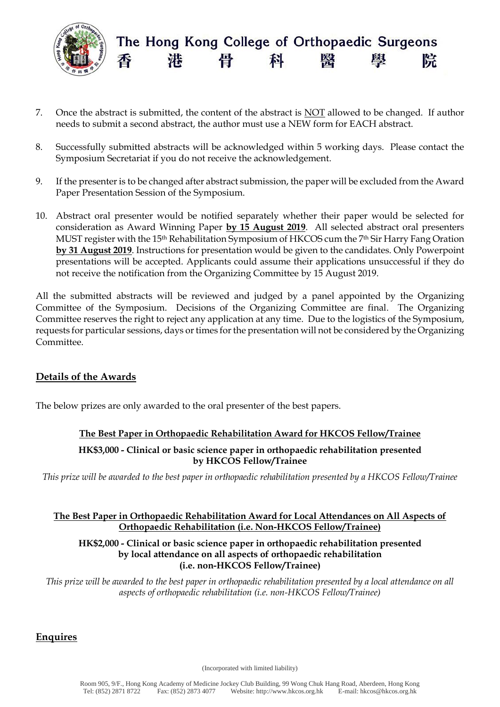

- 7. Once the abstract is submitted, the content of the abstract is NOT allowed to be changed. If author needs to submit a second abstract, the author must use a NEW form for EACH abstract.
- 8. Successfully submitted abstracts will be acknowledged within 5 working days. Please contact the Symposium Secretariat if you do not receive the acknowledgement.
- 9. If the presenter is to be changed after abstract submission, the paper will be excluded from the Award Paper Presentation Session of the Symposium.
- 10. Abstract oral presenter would be notified separately whether their paper would be selected for consideration as Award Winning Paper **by 15 August 2019**. All selected abstract oral presenters MUST register with the 15<sup>th</sup> Rehabilitation Symposium of HKCOS cum the 7<sup>th</sup> Sir Harry Fang Oration **by 31 August 2019**. Instructions for presentation would be given to the candidates. Only Powerpoint presentations will be accepted. Applicants could assume their applications unsuccessful if they do not receive the notification from the Organizing Committee by 15 August 2019.

All the submitted abstracts will be reviewed and judged by a panel appointed by the Organizing Committee of the Symposium. Decisions of the Organizing Committee are final. The Organizing Committee reserves the right to reject any application at any time. Due to the logistics of the Symposium, requests for particular sessions, days or times for the presentation will not be considered by the Organizing Committee.

## **Details of the Awards**

The below prizes are only awarded to the oral presenter of the best papers.

## **The Best Paper in Orthopaedic Rehabilitation Award for HKCOS Fellow/Trainee**

#### **HK\$3,000 - Clinical or basic science paper in orthopaedic rehabilitation presented by HKCOS Fellow/Trainee**

*This prize will be awarded to the best paper in orthopaedic rehabilitation presented by a HKCOS Fellow/Trainee* 

#### **The Best Paper in Orthopaedic Rehabilitation Award for Local Attendances on All Aspects of Orthopaedic Rehabilitation (i.e. Non-HKCOS Fellow/Trainee)**

#### **HK\$2,000 - Clinical or basic science paper in orthopaedic rehabilitation presented by local attendance on all aspects of orthopaedic rehabilitation (i.e. non-HKCOS Fellow/Trainee)**

*This prize will be awarded to the best paper in orthopaedic rehabilitation presented by a local attendance on all aspects of orthopaedic rehabilitation (i.e. non-HKCOS Fellow/Trainee)* 

#### **Enquires**